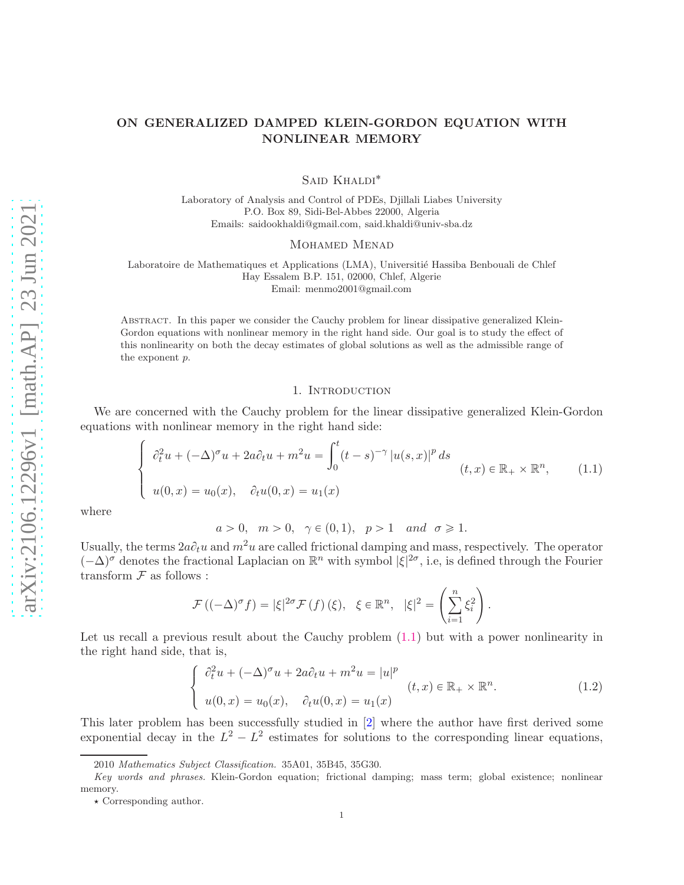# ON GENERALIZED DAMPED KLEIN-GORDON EQUATION WITH NONLINEAR MEMORY

SAID KHALDI<sup>\*</sup>

Laboratory of Analysis and Control of PDEs, Djillali Liabes University P.O. Box 89, Sidi-Bel-Abbes 22000, Algeria Emails: saidookhaldi@gmail.com, said.khaldi@univ-sba.dz

MOHAMED MENAD

Laboratoire de Mathematiques et Applications (LMA), Universitié Hassiba Benbouali de Chlef Hay Essalem B.P. 151, 02000, Chlef, Algerie Email: menmo2001@gmail.com

Abstract. In this paper we consider the Cauchy problem for linear dissipative generalized Klein-Gordon equations with nonlinear memory in the right hand side. Our goal is to study the effect of this nonlinearity on both the decay estimates of global solutions as well as the admissible range of the exponent p.

#### 1. INTRODUCTION

We are concerned with the Cauchy problem for the linear dissipative generalized Klein-Gordon equations with nonlinear memory in the right hand side:

<span id="page-0-0"></span>
$$
\begin{cases}\n\partial_t^2 u + (-\Delta)^\sigma u + 2a \partial_t u + m^2 u = \int_0^t (t-s)^{-\gamma} |u(s,x)|^p ds \\
u(0,x) = u_0(x), \quad \partial_t u(0,x) = u_1(x)\n\end{cases} \quad (t,x) \in \mathbb{R}_+ \times \mathbb{R}^n,
$$
\n(1.1)

where

 $a > 0$ ,  $m > 0$ ,  $\gamma \in (0, 1)$ ,  $p > 1$  and  $\sigma \geq 1$ .

Usually, the terms  $2a\partial_t u$  and  $m^2u$  are called frictional damping and mass, respectively. The operator  $(-\Delta)^\sigma$  denotes the fractional Laplacian on  $\mathbb{R}^n$  with symbol  $|\xi|^{2\sigma}$ , i.e, is defined through the Fourier transform  ${\mathcal F}$  as follows :

$$
\mathcal{F}\left((-\Delta)^{\sigma} f\right) = |\xi|^{2\sigma} \mathcal{F}\left(f\right)(\xi), \ \ \xi \in \mathbb{R}^{n}, \ \ |\xi|^{2} = \left(\sum_{i=1}^{n} \xi_{i}^{2}\right).
$$

Let us recall a previous result about the Cauchy problem  $(1.1)$  but with a power nonlinearity in the right hand side, that is,

$$
\begin{cases}\n\partial_t^2 u + (-\Delta)^\sigma u + 2a \partial_t u + m^2 u = |u|^p \\
u(0, x) = u_0(x), \quad \partial_t u(0, x) = u_1(x)\n\end{cases} \quad (1.2)
$$

This later problem has been successfully studied in [\[2\]](#page-4-0) where the author have first derived some exponential decay in the  $L^2 - L^2$  estimates for solutions to the corresponding linear equations,

<sup>2010</sup> Mathematics Subject Classification. 35A01, 35B45, 35G30.

Key words and phrases. Klein-Gordon equation; frictional damping; mass term; global existence; nonlinear memory.

 $\star$  Corresponding author.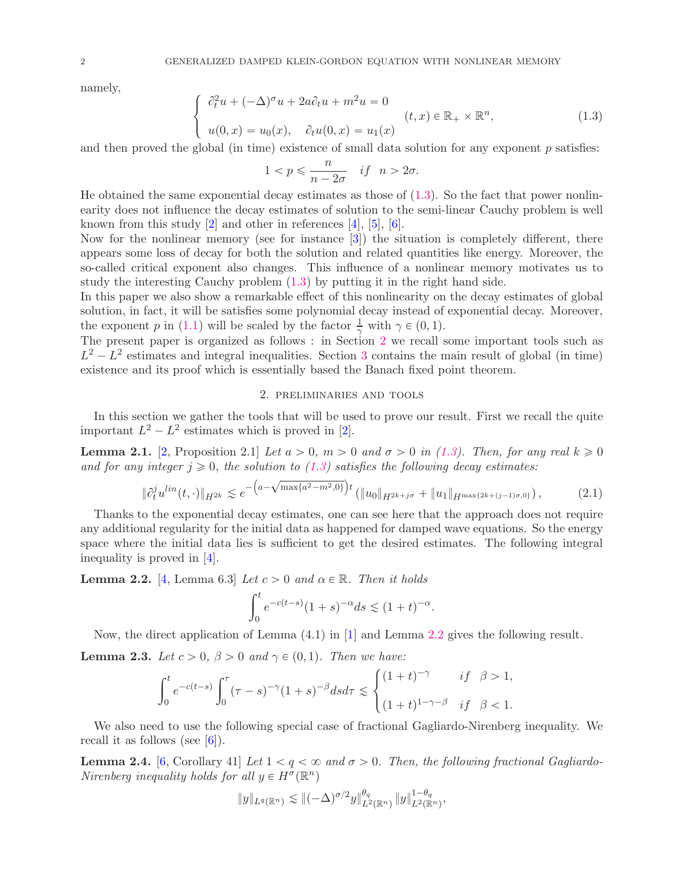namely,

 $\parallel$ 

<span id="page-1-0"></span>
$$
\begin{cases}\n\partial_t^2 u + (-\Delta)^\sigma u + 2a \partial_t u + m^2 u = 0 \\
u(0, x) = u_0(x), \quad \partial_t u(0, x) = u_1(x)\n\end{cases} \tag{1.3}
$$

and then proved the global (in time) existence of small data solution for any exponent  $p$  satisfies:

$$
1 < p \leqslant \frac{n}{n - 2\sigma} \quad \text{if} \quad n > 2\sigma.
$$

He obtained the same exponential decay estimates as those of  $(1.3)$ . So the fact that power nonlinearity does not influence the decay estimates of solution to the semi-linear Cauchy problem is well known from this study  $[2]$  and other in references  $[4]$ ,  $[5]$ ,  $[6]$ .

Now for the nonlinear memory (see for instance [\[3\]](#page-4-1)) the situation is completely different, there appears some loss of decay for both the solution and related quantities like energy. Moreover, the so-called critical exponent also changes. This influence of a nonlinear memory motivates us to study the interesting Cauchy problem [\(1.3\)](#page-1-0) by putting it in the right hand side.

In this paper we also show a remarkable effect of this nonlinearity on the decay estimates of global solution, in fact, it will be satisfies some polynomial decay instead of exponential decay. Moreover, the exponent p in [\(1.1\)](#page-0-0) will be scaled by the factor  $\frac{1}{\gamma}$  with  $\gamma \in (0, 1)$ .

The present paper is organized as follows : in Section [2](#page-1-1) we recall some important tools such as  $L^2 - L^2$  estimates and integral inequalities. Section [3](#page-2-0) contains the main result of global (in time) existence and its proof which is essentially based the Banach fixed point theorem.

#### 2. preliminaries and tools

<span id="page-1-1"></span>In this section we gather the tools that will be used to prove our result. First we recall the quite important  $L^2 - L^2$  estimates which is proved in [\[2\]](#page-4-0).

**Lemma 2.1.** [\[2,](#page-4-0) Proposition 2.1] *Let*  $a > 0$ ,  $m > 0$  and  $\sigma > 0$  in [\(1.3\)](#page-1-0)*. Then, for any real*  $k \geq 0$ and for any integer  $j \geq 0$ , the solution to [\(1.3\)](#page-1-0) satisfies the following decay estimates:

$$
\partial_t^j u^{lin}(t, \cdot) \|_{H^{2k}} \lesssim e^{-\left(a - \sqrt{\max\{a^2 - m^2, 0\}}\right)t} \left( \|u_0\|_{H^{2k+j\sigma}} + \|u_1\|_{H^{\max\{2k+(j-1)\sigma, 0\}}}\right),\tag{2.1}
$$

Thanks to the exponential decay estimates, one can see here that the approach does not require any additional regularity for the initial data as happened for damped wave equations. So the energy space where the initial data lies is sufficient to get the desired estimates. The following integral inequality is proved in [\[4\]](#page-5-0).

<span id="page-1-2"></span>**Lemma 2.2.** [\[4,](#page-5-0) Lemma 6.3] *Let*  $c > 0$  *and*  $\alpha \in \mathbb{R}$ *. Then it holds* 

$$
\int_0^t e^{-c(t-s)} (1+s)^{-\alpha} ds \lesssim (1+t)^{-\alpha}.
$$

Now, the direct application of Lemma (4.1) in [\[1\]](#page-4-2) and Lemma [2.2](#page-1-2) gives the following result.

<span id="page-1-4"></span>**Lemma 2.3.** *Let*  $c > 0$ ,  $\beta > 0$  *and*  $\gamma \in (0, 1)$ *. Then we have:* 

$$
\int_0^t e^{-c(t-s)} \int_0^\tau (\tau - s)^{-\gamma} (1+s)^{-\beta} ds d\tau \lesssim \begin{cases} (1+t)^{-\gamma} & \text{if } \beta > 1, \\ (1+t)^{1-\gamma-\beta} & \text{if } \beta < 1. \end{cases}
$$

We also need to use the following special case of fractional Gagliardo-Nirenberg inequality. We recall it as follows (see [\[6\]](#page-5-2)).

<span id="page-1-3"></span>**Lemma 2.4.** [\[6,](#page-5-2) Corollary 41] Let  $1 < q < \infty$  and  $\sigma > 0$ . Then, the following fractional Gagliardo-*Nirenberg inequality holds for all*  $y \in H^{\sigma}(\mathbb{R}^n)$ 

$$
||y||_{L^{q}(\mathbb{R}^n)} \lesssim ||(-\Delta)^{\sigma/2}y||_{L^{2}(\mathbb{R}^n)}^{\theta_q} ||y||_{L^{2}(\mathbb{R}^n)}^{1-\theta_q},
$$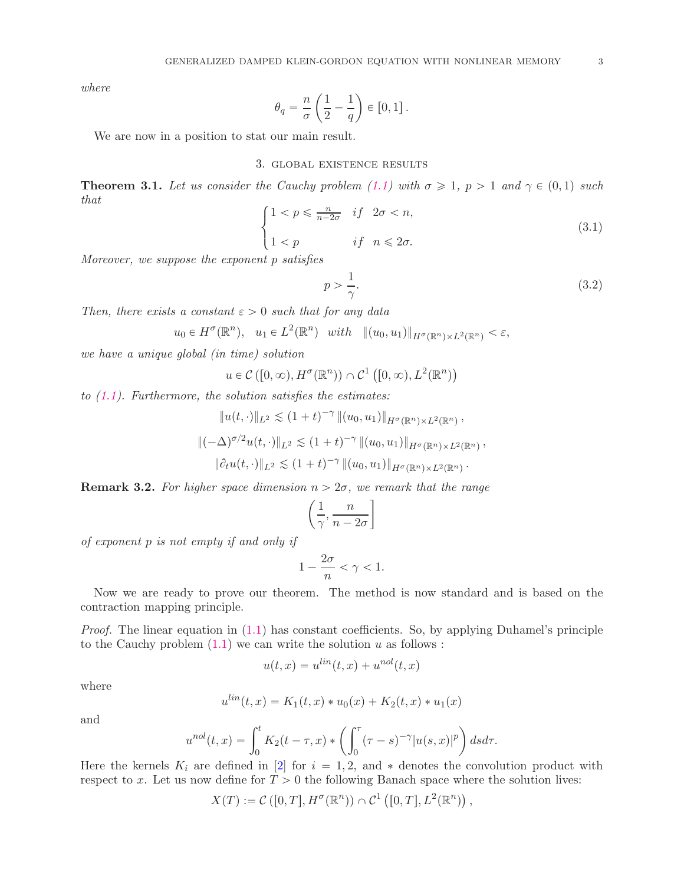*where*

$$
\theta_q = \frac{n}{\sigma} \left( \frac{1}{2} - \frac{1}{q} \right) \in [0, 1] .
$$

<span id="page-2-0"></span>We are now in a position to stat our main result.

## 3. global existence results

<span id="page-2-1"></span>**Theorem 3.1.** Let us consider the Cauchy problem [\(1.1\)](#page-0-0) with  $\sigma \geq 1$ ,  $p > 1$  and  $\gamma \in (0, 1)$  such *that*

$$
\begin{cases} 1 < p \leqslant \frac{n}{n-2\sigma} & \text{if } 2\sigma < n, \\ 1 < p & \text{if } n \leqslant 2\sigma. \end{cases} \tag{3.1}
$$

*Moreover, we suppose the exponent* p *satisfies*

$$
p > \frac{1}{\gamma}.\tag{3.2}
$$

*Then, there exists a constant*  $\varepsilon > 0$  *such that for any data* 

 $u_0 \in H^{\sigma}(\mathbb{R}^n)$ ,  $u_1 \in L^2(\mathbb{R}^n)$  with  $||(u_0, u_1)||_{H^{\sigma}(\mathbb{R}^n) \times L^2(\mathbb{R}^n)} < \varepsilon$ ,

*we have a unique global (in time) solution*

$$
u \in \mathcal{C}\left([0,\infty),H^{\sigma}(\mathbb{R}^n)\right) \cap \mathcal{C}^1\left([0,\infty),L^2(\mathbb{R}^n)\right)
$$

*to [\(1.1\)](#page-0-0). Furthermore, the solution satisfies the estimates:*

$$
||u(t, \cdot)||_{L^2} \lesssim (1+t)^{-\gamma} ||(u_0, u_1)||_{H^{\sigma}(\mathbb{R}^n) \times L^2(\mathbb{R}^n)},
$$
  

$$
||(-\Delta)^{\sigma/2}u(t, \cdot)||_{L^2} \lesssim (1+t)^{-\gamma} ||(u_0, u_1)||_{H^{\sigma}(\mathbb{R}^n) \times L^2(\mathbb{R}^n)},
$$
  

$$
||\partial_t u(t, \cdot)||_{L^2} \lesssim (1+t)^{-\gamma} ||(u_0, u_1)||_{H^{\sigma}(\mathbb{R}^n) \times L^2(\mathbb{R}^n)}.
$$

**Remark 3.2.** For higher space dimension  $n > 2\sigma$ , we remark that the range

$$
\left(\frac{1}{\gamma}, \frac{n}{n-2\sigma}\right]
$$

*of exponent* p *is not empty if and only if*

$$
1-\frac{2\sigma}{n}<\gamma<1.
$$

Now we are ready to prove our theorem. The method is now standard and is based on the contraction mapping principle.

*Proof.* The linear equation in  $(1.1)$  has constant coefficients. So, by applying Duhamel's principle to the Cauchy problem  $(1.1)$  we can write the solution u as follows :

$$
u(t,x) = u^{\text{lin}}(t,x) + u^{\text{nol}}(t,x)
$$

where

$$
u^{lin}(t,x) = K_1(t,x) * u_0(x) + K_2(t,x) * u_1(x)
$$

and

$$
u^{nol}(t,x) = \int_0^t K_2(t-\tau,x) \cdot \left( \int_0^{\tau} (\tau-s)^{-\gamma} |u(s,x)|^p \right) ds d\tau.
$$

Here the kernels  $K_i$  are defined in [\[2\]](#page-4-0) for  $i = 1, 2$ , and  $*$  denotes the convolution product with respect to x. Let us now define for  $T > 0$  the following Banach space where the solution lives:

$$
X(T) := \mathcal{C}\left([0,T], H^{\sigma}(\mathbb{R}^n)\right) \cap \mathcal{C}^1\left([0,T], L^2(\mathbb{R}^n)\right),
$$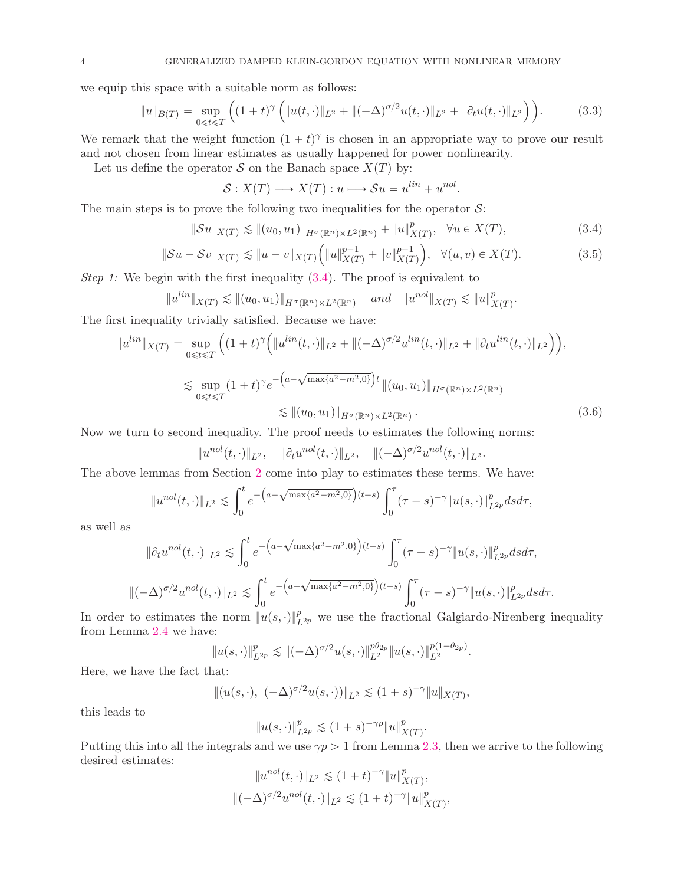we equip this space with a suitable norm as follows:

$$
||u||_{B(T)} = \sup_{0 \le t \le T} \left( (1+t)^{\gamma} \left( ||u(t, \cdot)||_{L^2} + ||(-\Delta)^{\sigma/2} u(t, \cdot)||_{L^2} + ||\partial_t u(t, \cdot)||_{L^2} \right) \right).
$$
 (3.3)

We remark that the weight function  $(1 + t)^\gamma$  is chosen in an appropriate way to prove our result and not chosen from linear estimates as usually happened for power nonlinearity.

Let us define the operator S on the Banach space  $X(T)$  by:

<span id="page-3-1"></span><span id="page-3-0"></span>
$$
\mathcal{S}: X(T) \longrightarrow X(T): u \longmapsto \mathcal{S}u = u^{lin} + u^{nol}.
$$

The main steps is to prove the following two inequalities for the operator  $S$ :

$$
\|\mathcal{S}u\|_{X(T)} \lesssim \|(u_0, u_1)\|_{H^{\sigma}(\mathbb{R}^n) \times L^2(\mathbb{R}^n)} + \|u\|_{X(T)}^p, \quad \forall u \in X(T),
$$
\n(3.4)

$$
\|\mathcal{S}u - \mathcal{S}v\|_{X(T)} \lesssim \|u - v\|_{X(T)} \Big( \|u\|_{X(T)}^{p-1} + \|v\|_{X(T)}^{p-1} \Big), \quad \forall (u, v) \in X(T). \tag{3.5}
$$

*Step 1:* We begin with the first inequality  $(3.4)$ . The proof is equivalent to

$$
||u^{lin}||_{X(T)} \lesssim ||(u_0, u_1)||_{H^{\sigma}(\mathbb{R}^n) \times L^2(\mathbb{R}^n)} \quad \text{and} \quad ||u^{nol}||_{X(T)} \lesssim ||u||_{X(T)}^p.
$$

The first inequality trivially satisfied. Because we have:

$$
||u^{lin}||_{X(T)} = \sup_{0 \le t \le T} \left( (1+t)^{\gamma} \left( ||u^{lin}(t, \cdot)||_{L^2} + \|(-\Delta)^{\sigma/2} u^{lin}(t, \cdot)||_{L^2} + \|\partial_t u^{lin}(t, \cdot)||_{L^2} \right) \right),
$$
  

$$
\lesssim \sup_{0 \le t \le T} (1+t)^{\gamma} e^{-\left(a - \sqrt{\max\{a^2 - m^2, 0\}}\right)t} ||(u_0, u_1)||_{H^{\sigma}(\mathbb{R}^n) \times L^2(\mathbb{R}^n)}
$$
  

$$
\lesssim ||(u_0, u_1)||_{H^{\sigma}(\mathbb{R}^n) \times L^2(\mathbb{R}^n)}.
$$
 (3.6)

Now we turn to second inequality. The proof needs to estimates the following norms:

$$
\|u^{nol}(t,\cdot)\|_{L^2}, \quad \|\partial_t u^{nol}(t,\cdot)\|_{L^2}, \quad \|(-\Delta)^{\sigma/2} u^{nol}(t,\cdot)\|_{L^2}.
$$

The above lemmas from Section [2](#page-1-1) come into play to estimates these terms. We have:

$$
||u^{nol}(t,\cdot)||_{L^2} \lesssim \int_0^t e^{-\left(a-\sqrt{\max\{a^2-m^2,0\}}\right)(t-s)} \int_0^\tau (\tau-s)^{-\gamma} ||u(s,\cdot)||_{L^{2p}}^p ds d\tau,
$$

as well as

$$
\|\partial_t u^{nol}(t,\cdot)\|_{L^2} \lesssim \int_0^t e^{-\left(a-\sqrt{\max\{a^2-m^2,0\}}\right)(t-s)} \int_0^\tau (\tau-s)^{-\gamma} \|u(s,\cdot)\|_{L^{2p}}^p ds d\tau,
$$
  

$$
\|(-\Delta)^{\sigma/2} u^{nol}(t,\cdot)\|_{L^2} \lesssim \int_0^t e^{-\left(a-\sqrt{\max\{a^2-m^2,0\}}\right)(t-s)} \int_0^\tau (\tau-s)^{-\gamma} \|u(s,\cdot)\|_{L^{2p}}^p ds d\tau.
$$

In order to estimates the norm  $||u(s, \cdot)||_{L^{2p}}^p$  we use the fractional Galgiardo-Nirenberg inequality from Lemma [2.4](#page-1-3) we have:

$$
||u(s, \cdot)||_{L^{2p}}^p \lesssim ||(-\Delta)^{\sigma/2}u(s, \cdot)||_{L^2}^{p\theta_{2p}}||u(s, \cdot)||_{L^2}^{p(1-\theta_{2p})}.
$$

Here, we have the fact that:

$$
|| (u(s, \cdot), (-\Delta)^{\sigma/2} u(s, \cdot)) ||_{L^2} \lesssim (1+s)^{-\gamma} ||u||_{X(T)},
$$

this leads to

$$
||u(s, \cdot)||_{L^{2p}}^p \lesssim (1+s)^{-\gamma p} ||u||_{X(T)}^p.
$$

Putting this into all the integrals and we use  $\gamma p > 1$  from Lemma [2.3,](#page-1-4) then we arrive to the following desired estimates:

$$
||u^{nol}(t,\cdot)||_{L^2} \lesssim (1+t)^{-\gamma} ||u||^p_{X(T)},
$$
  

$$
||(-\Delta)^{\sigma/2} u^{nol}(t,\cdot)||_{L^2} \lesssim (1+t)^{-\gamma} ||u||^p_{X(T)},
$$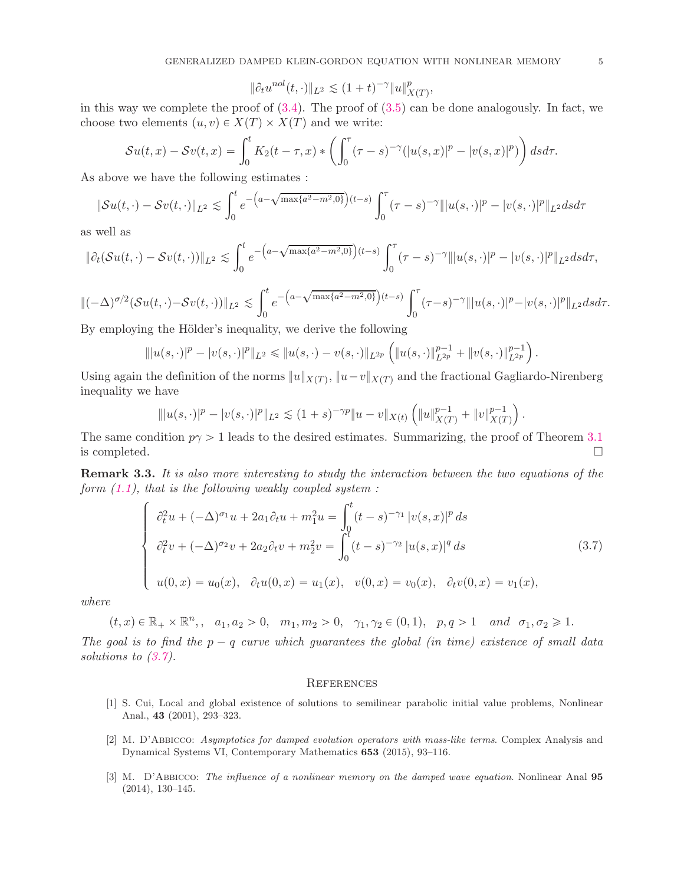$$
\|\partial_t u^{nol}(t,\cdot)\|_{L^2} \lesssim (1+t)^{-\gamma} \|u\|_{X(T)}^p,
$$

in this way we complete the proof of  $(3.4)$ . The proof of  $(3.5)$  can be done analogously. In fact, we choose two elements  $(u, v) \in X(T) \times X(T)$  and we write:

$$
\mathcal{S}u(t,x) - \mathcal{S}v(t,x) = \int_0^t K_2(t-\tau,x) \ast \left( \int_0^{\tau} (\tau-s)^{-\gamma} (|u(s,x)|^p - |v(s,x)|^p) \right) ds d\tau.
$$

As above we have the following estimates :

$$
\|\mathcal{S}u(t,\cdot)-\mathcal{S}v(t,\cdot)\|_{L^2} \lesssim \int_0^t e^{-\left(a-\sqrt{\max\{a^2-m^2,0\}}\right)(t-s)} \int_0^\tau (\tau-s)^{-\gamma} \| |u(s,\cdot)|^p - |v(s,\cdot)|^p \|_{L^2} ds d\tau
$$

as well as

$$
\|\partial_t(\mathcal{S}u(t,\cdot)-\mathcal{S}v(t,\cdot))\|_{L^2}\leq \int_0^t e^{-\left(a-\sqrt{\max\{a^2-m^2,0\}}\right)(t-s)}\int_0^\tau (\tau-s)^{-\gamma}\| |u(s,\cdot)|^p-|v(s,\cdot)|^p\|_{L^2}dsd\tau,
$$

 $\|(-\Delta)^{\sigma/2} (\mathcal{S}u(t,\cdot)-\mathcal{S}v(t,\cdot))\|_{L^2} \lesssim \int_0^t$ 0  $e^{-\left(a-\sqrt{\max\{a^2-m^2,0\}}\right)(t-s)} \int_0^{\tau}$  $\int_0^{\pi} (\tau - s)^{-\gamma} \| |u(s, \cdot)|^p - |v(s, \cdot)|^p \|_{L^2} ds d\tau.$ 

By employing the Hölder's inequality, we derive the following

$$
\| |u(s, \cdot)|^p - |v(s, \cdot)|^p \|_{L^2} \leq \| u(s, \cdot) - v(s, \cdot) \|_{L^{2p}} \left( \| u(s, \cdot) \|_{L^{2p}}^{p-1} + \| v(s, \cdot) \|_{L^{2p}}^{p-1} \right).
$$

Using again the definition of the norms  $||u||_{X(T)}$ ,  $||u-v||_{X(T)}$  and the fractional Gagliardo-Nirenberg inequality we have

$$
\| |u(s, \cdot)|^p - |v(s, \cdot)|^p \|_{L^2} \lesssim (1+s)^{-\gamma p} \|u - v\|_{X(t)} \left( \|u\|_{X(T)}^{p-1} + \|v\|_{X(T)}^{p-1} \right).
$$

The same condition  $p\gamma > 1$  leads to the desired estimates. Summarizing, the proof of Theorem [3.1](#page-2-1) is completed. is completed.  $\square$ 

Remark 3.3. *It is also more interesting to study the interaction between the two equations of the form [\(1.1\)](#page-0-0), that is the following weakly coupled system :*

<span id="page-4-3"></span>
$$
\begin{cases}\n\partial_t^2 u + (-\Delta)^{\sigma_1} u + 2a_1 \partial_t u + m_1^2 u = \int_0^t (t-s)^{-\gamma_1} |v(s,x)|^p ds \\
\partial_t^2 v + (-\Delta)^{\sigma_2} v + 2a_2 \partial_t v + m_2^2 v = \int_0^t (t-s)^{-\gamma_2} |u(s,x)|^q ds \\
u(0,x) = u_0(x), \quad \partial_t u(0,x) = u_1(x), \quad v(0,x) = v_0(x), \quad \partial_t v(0,x) = v_1(x),\n\end{cases}
$$
\n(3.7)

*where*

$$
(t, x) \in \mathbb{R}_+ \times \mathbb{R}^n
$$
,  $a_1, a_2 > 0$ ,  $m_1, m_2 > 0$ ,  $\gamma_1, \gamma_2 \in (0, 1)$ ,  $p, q > 1$  and  $\sigma_1, \sigma_2 \ge 1$ .

*The goal is to find the*  $p - q$  *curve which guarantees the global (in time) existence of small data solutions to [\(3.7\)](#page-4-3).*

### **REFERENCES**

- <span id="page-4-2"></span>[1] S. Cui, Local and global existence of solutions to semilinear parabolic initial value problems, Nonlinear Anal., 43 (2001), 293–323.
- <span id="page-4-0"></span>[2] M. D'Abbicco: Asymptotics for damped evolution operators with mass-like terms. Complex Analysis and Dynamical Systems VI, Contemporary Mathematics 653 (2015), 93–116.
- <span id="page-4-1"></span>[3] M. D'Abbicco: The influence of a nonlinear memory on the damped wave equation. Nonlinear Anal 95 (2014), 130–145.